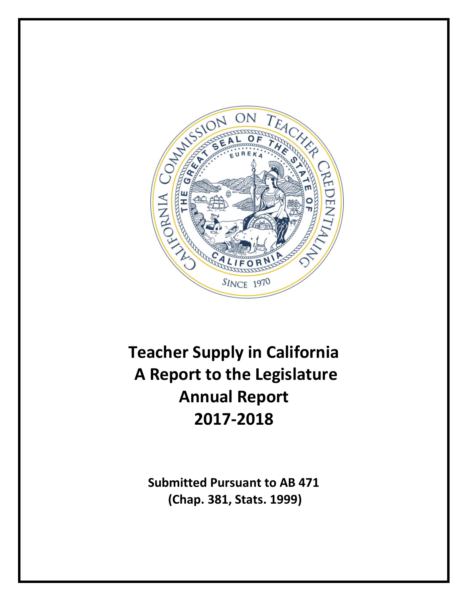

# **Teacher Supply in California A Report to the Legislature Annual Report 2017-2018**

**Submitted Pursuant to AB 471 (Chap. 381, Stats. 1999)**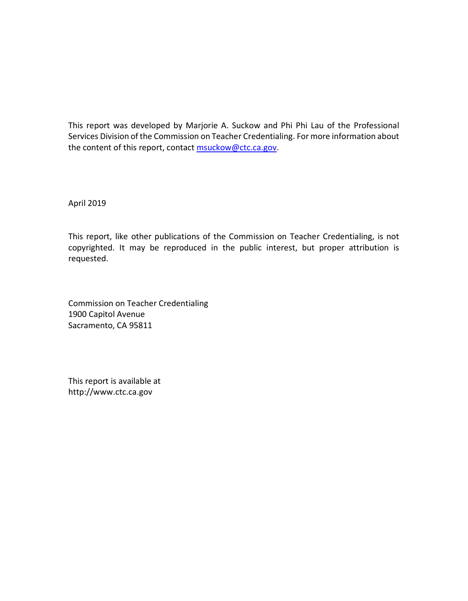This report was developed by Marjorie A. Suckow and Phi Phi Lau of the Professional Services Division of the Commission on Teacher Credentialing. For more information about the content of this report, contact [msuckow@ctc.ca.gov.](mailto:msuckow@ctc.ca.gov)

April 2019

This report, like other publications of the Commission on Teacher Credentialing, is not copyrighted. It may be reproduced in the public interest, but proper attribution is requested.

Commission on Teacher Credentialing 1900 Capitol Avenue Sacramento, CA 95811

This report is available at http://www.ctc.ca.gov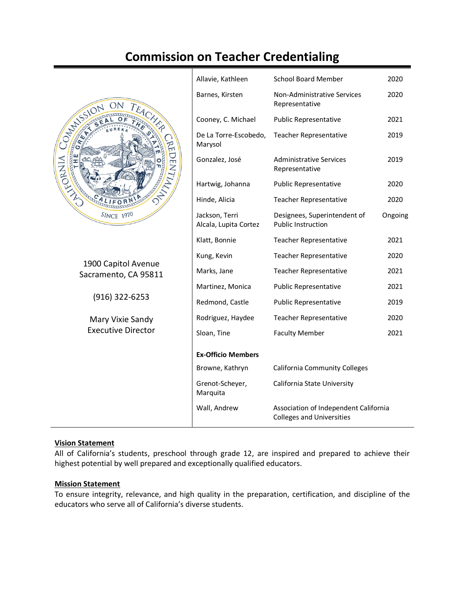# **Commission on Teacher Credentialing**



1900 Capitol Avenue Sacramento, CA 95811

(916) 322-6253

Mary Vixie Sandy Executive Director

| Allavie, Kathleen                       | <b>School Board Member</b>                                                | 2020    |
|-----------------------------------------|---------------------------------------------------------------------------|---------|
| Barnes, Kirsten                         | Non-Administrative Services<br>Representative                             | 2020    |
| Cooney, C. Michael                      | <b>Public Representative</b>                                              | 2021    |
| De La Torre-Escobedo,<br>Marysol        | <b>Teacher Representative</b>                                             | 2019    |
| Gonzalez, José                          | <b>Administrative Services</b><br>Representative                          | 2019    |
| Hartwig, Johanna                        | <b>Public Representative</b>                                              | 2020    |
| Hinde, Alicia                           | <b>Teacher Representative</b>                                             | 2020    |
| Jackson, Terri<br>Alcala, Lupita Cortez | Designees, Superintendent of<br><b>Public Instruction</b>                 | Ongoing |
| Klatt, Bonnie                           | <b>Teacher Representative</b>                                             | 2021    |
| Kung, Kevin                             | <b>Teacher Representative</b>                                             | 2020    |
| Marks, Jane                             | <b>Teacher Representative</b>                                             | 2021    |
| Martinez, Monica                        | <b>Public Representative</b>                                              | 2021    |
| Redmond, Castle                         | <b>Public Representative</b>                                              | 2019    |
| Rodriguez, Haydee                       | <b>Teacher Representative</b>                                             | 2020    |
| Sloan, Tine                             | <b>Faculty Member</b>                                                     | 2021    |
| <b>Ex-Officio Members</b>               |                                                                           |         |
| Browne, Kathryn                         | <b>California Community Colleges</b>                                      |         |
| Grenot-Scheyer,<br>Marquita             | California State University                                               |         |
| Wall, Andrew                            | Association of Independent California<br><b>Colleges and Universities</b> |         |
|                                         |                                                                           |         |

#### **Vision Statement**

All of California's students, preschool through grade 12, are inspired and prepared to achieve their highest potential by well prepared and exceptionally qualified educators.

#### **Mission Statement**

To ensure integrity, relevance, and high quality in the preparation, certification, and discipline of the educators who serve all of California's diverse students.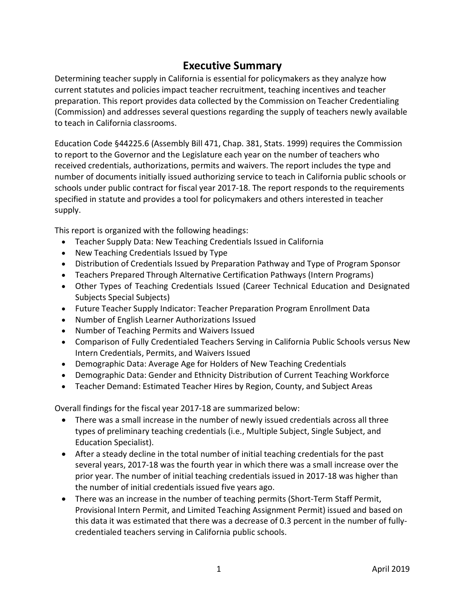# **Executive Summary**

Determining teacher supply in California is essential for policymakers as they analyze how current statutes and policies impact teacher recruitment, teaching incentives and teacher preparation. This report provides data collected by the Commission on Teacher Credentialing (Commission) and addresses several questions regarding the supply of teachers newly available to teach in California classrooms.

Education Code §44225.6 (Assembly Bill 471, Chap. 381, Stats. 1999) requires the Commission to report to the Governor and the Legislature each year on the number of teachers who received credentials, authorizations, permits and waivers. The report includes the type and number of documents initially issued authorizing service to teach in California public schools or schools under public contract for fiscal year 2017-18. The report responds to the requirements specified in statute and provides a tool for policymakers and others interested in teacher supply.

This report is organized with the following headings:

- Teacher Supply Data: New Teaching Credentials Issued in California
- New Teaching Credentials Issued by Type
- Distribution of Credentials Issued by Preparation Pathway and Type of Program Sponsor
- Teachers Prepared Through Alternative Certification Pathways (Intern Programs)
- Other Types of Teaching Credentials Issued (Career Technical Education and Designated Subjects Special Subjects)
- Future Teacher Supply Indicator: Teacher Preparation Program Enrollment Data
- Number of English Learner Authorizations Issued
- Number of Teaching Permits and Waivers Issued
- Comparison of Fully Credentialed Teachers Serving in California Public Schools versus New Intern Credentials, Permits, and Waivers Issued
- Demographic Data: Average Age for Holders of New Teaching Credentials
- Demographic Data: Gender and Ethnicity Distribution of Current Teaching Workforce
- Teacher Demand: Estimated Teacher Hires by Region, County, and Subject Areas

Overall findings for the fiscal year 2017-18 are summarized below:

- There was a small increase in the number of newly issued credentials across all three types of preliminary teaching credentials (i.e., Multiple Subject, Single Subject, and Education Specialist).
- After a steady decline in the total number of initial teaching credentials for the past several years, 2017-18 was the fourth year in which there was a small increase over the prior year. The number of initial teaching credentials issued in 2017-18 was higher than the number of initial credentials issued five years ago.
- There was an increase in the number of teaching permits (Short-Term Staff Permit, Provisional Intern Permit, and Limited Teaching Assignment Permit) issued and based on this data it was estimated that there was a decrease of 0.3 percent in the number of fullycredentialed teachers serving in California public schools.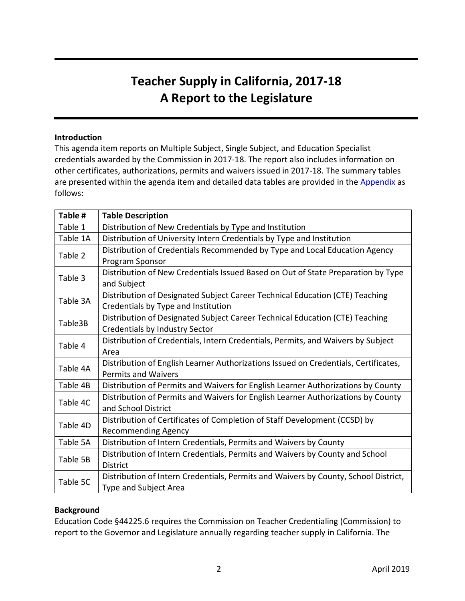# **Teacher Supply in California, 2017-18 A Report to the Legislature**

#### **Introduction**

This agenda item reports on Multiple Subject, Single Subject, and Education Specialist credentials awarded by the Commission in 2017-18. The report also includes information on other certificates, authorizations, permits and waivers issued in 2017-18. The summary tables are presented within the agenda item and detailed data tables are provided in the [Appendix](https://www.ctc.ca.gov/docs/default-source/commission/agendas/2019-04/2019-04-4h-appendix.xlsx) as follows:

| Table #  | <b>Table Description</b>                                                            |
|----------|-------------------------------------------------------------------------------------|
| Table 1  | Distribution of New Credentials by Type and Institution                             |
| Table 1A | Distribution of University Intern Credentials by Type and Institution               |
| Table 2  | Distribution of Credentials Recommended by Type and Local Education Agency          |
|          | Program Sponsor                                                                     |
| Table 3  | Distribution of New Credentials Issued Based on Out of State Preparation by Type    |
|          | and Subject                                                                         |
| Table 3A | Distribution of Designated Subject Career Technical Education (CTE) Teaching        |
|          | Credentials by Type and Institution                                                 |
| Table3B  | Distribution of Designated Subject Career Technical Education (CTE) Teaching        |
|          | Credentials by Industry Sector                                                      |
| Table 4  | Distribution of Credentials, Intern Credentials, Permits, and Waivers by Subject    |
|          | Area                                                                                |
| Table 4A | Distribution of English Learner Authorizations Issued on Credentials, Certificates, |
|          | <b>Permits and Waivers</b>                                                          |
| Table 4B | Distribution of Permits and Waivers for English Learner Authorizations by County    |
| Table 4C | Distribution of Permits and Waivers for English Learner Authorizations by County    |
|          | and School District                                                                 |
| Table 4D | Distribution of Certificates of Completion of Staff Development (CCSD) by           |
|          | <b>Recommending Agency</b>                                                          |
| Table 5A | Distribution of Intern Credentials, Permits and Waivers by County                   |
| Table 5B | Distribution of Intern Credentials, Permits and Waivers by County and School        |
|          | <b>District</b>                                                                     |
| Table 5C | Distribution of Intern Credentials, Permits and Waivers by County, School District, |
|          | <b>Type and Subject Area</b>                                                        |

#### **Background**

Education Code §44225.6 requires the Commission on Teacher Credentialing (Commission) to report to the Governor and Legislature annually regarding teacher supply in California. The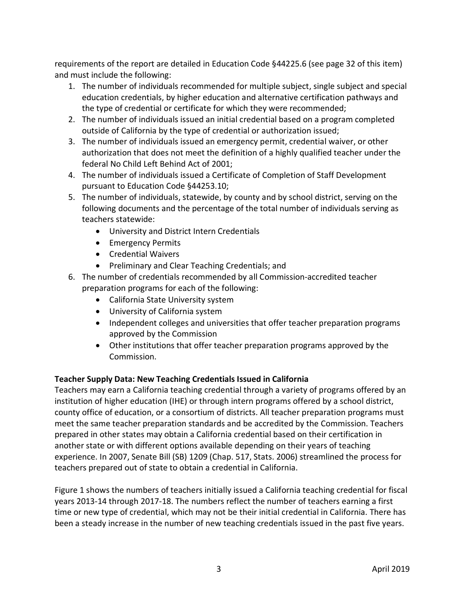requirements of the report are detailed in Education Code §44225.6 (see page 32 of this item) and must include the following:

- 1. The number of individuals recommended for multiple subject, single subject and special education credentials, by higher education and alternative certification pathways and the type of credential or certificate for which they were recommended;
- 2. The number of individuals issued an initial credential based on a program completed outside of California by the type of credential or authorization issued;
- 3. The number of individuals issued an emergency permit, credential waiver, or other authorization that does not meet the definition of a highly qualified teacher under the federal No Child Left Behind Act of 2001;
- 4. The number of individuals issued a Certificate of Completion of Staff Development pursuant to Education Code §44253.10;
- 5. The number of individuals, statewide, by county and by school district, serving on the following documents and the percentage of the total number of individuals serving as teachers statewide:
	- University and District Intern Credentials
	- Emergency Permits
	- Credential Waivers
	- Preliminary and Clear Teaching Credentials; and
- 6. The number of credentials recommended by all Commission-accredited teacher preparation programs for each of the following:
	- California State University system
	- University of California system
	- Independent colleges and universities that offer teacher preparation programs approved by the Commission
	- Other institutions that offer teacher preparation programs approved by the Commission.

# **Teacher Supply Data: New Teaching Credentials Issued in California**

Teachers may earn a California teaching credential through a variety of programs offered by an institution of higher education (IHE) or through intern programs offered by a school district, county office of education, or a consortium of districts. All teacher preparation programs must meet the same teacher preparation standards and be accredited by the Commission. Teachers prepared in other states may obtain a California credential based on their certification in another state or with different options available depending on their years of teaching experience. In 2007, Senate Bill (SB) 1209 (Chap. 517, Stats. 2006) streamlined the process for teachers prepared out of state to obtain a credential in California.

Figure 1 shows the numbers of teachers initially issued a California teaching credential for fiscal years 2013-14 through 2017-18. The numbers reflect the number of teachers earning a first time or new type of credential, which may not be their initial credential in California. There has been a steady increase in the number of new teaching credentials issued in the past five years.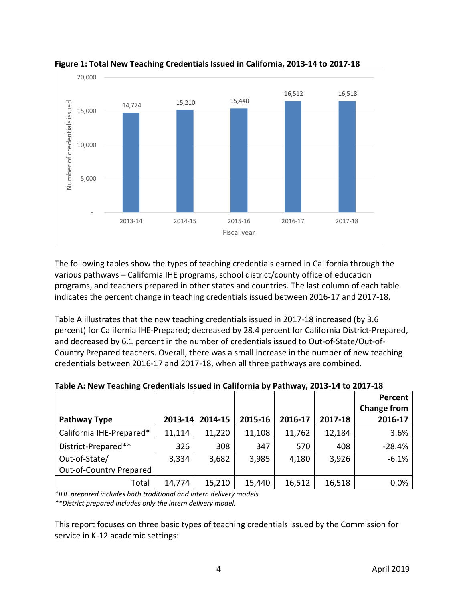

**Figure 1: Total New Teaching Credentials Issued in California, 2013-14 to 2017-18**

The following tables show the types of teaching credentials earned in California through the various pathways – California IHE programs, school district/county office of education programs, and teachers prepared in other states and countries. The last column of each table indicates the percent change in teaching credentials issued between 2016-17 and 2017-18.

Table A illustrates that the new teaching credentials issued in 2017-18 increased (by 3.6 percent) for California IHE-Prepared; decreased by 28.4 percent for California District-Prepared, and decreased by 6.1 percent in the number of credentials issued to Out-of-State/Out-of-Country Prepared teachers. Overall, there was a small increase in the number of new teaching credentials between 2016-17 and 2017-18, when all three pathways are combined.

| <b>Pathway Type</b>      | 2013-14 | 2014-15 | 2015-16 | 2016-17 | 2017-18 | Percent<br><b>Change from</b><br>2016-17 |
|--------------------------|---------|---------|---------|---------|---------|------------------------------------------|
| California IHE-Prepared* | 11,114  | 11,220  | 11,108  | 11,762  | 12,184  | 3.6%                                     |
| District-Prepared**      | 326     | 308     | 347     | 570     | 408     | $-28.4%$                                 |
| Out-of-State/            | 3,334   | 3,682   | 3,985   | 4,180   | 3,926   | $-6.1%$                                  |
| Out-of-Country Prepared  |         |         |         |         |         |                                          |
| Total                    | 14,774  | 15,210  | 15,440  | 16,512  | 16,518  | 0.0%                                     |

**Table A: New Teaching Credentials Issued in California by Pathway, 2013-14 to 2017-18**

*\*IHE prepared includes both traditional and intern delivery models. \*\*District prepared includes only the intern delivery model.*

This report focuses on three basic types of teaching credentials issued by the Commission for service in K-12 academic settings: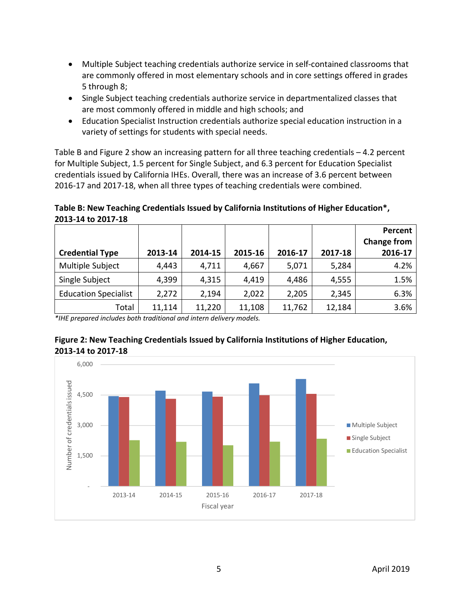- Multiple Subject teaching credentials authorize service in self-contained classrooms that are commonly offered in most elementary schools and in core settings offered in grades 5 through 8;
- Single Subject teaching credentials authorize service in departmentalized classes that are most commonly offered in middle and high schools; and
- Education Specialist Instruction credentials authorize special education instruction in a variety of settings for students with special needs.

Table B and Figure 2 show an increasing pattern for all three teaching credentials – 4.2 percent for Multiple Subject, 1.5 percent for Single Subject, and 6.3 percent for Education Specialist credentials issued by California IHEs. Overall, there was an increase of 3.6 percent between 2016-17 and 2017-18, when all three types of teaching credentials were combined.

**Table B: New Teaching Credentials Issued by California Institutions of Higher Education\*, 2013-14 to 2017-18**

|                             |         |         |         |         |         | Percent<br><b>Change from</b> |
|-----------------------------|---------|---------|---------|---------|---------|-------------------------------|
| <b>Credential Type</b>      | 2013-14 | 2014-15 | 2015-16 | 2016-17 | 2017-18 | 2016-17                       |
| Multiple Subject            | 4,443   | 4,711   | 4,667   | 5,071   | 5,284   | 4.2%                          |
| Single Subject              | 4,399   | 4,315   | 4,419   | 4,486   | 4,555   | 1.5%                          |
| <b>Education Specialist</b> | 2,272   | 2,194   | 2,022   | 2,205   | 2,345   | 6.3%                          |
| Total                       | 11,114  | 11,220  | 11,108  | 11,762  | 12,184  | 3.6%                          |

*\*IHE prepared includes both traditional and intern delivery models.*



# **Figure 2: New Teaching Credentials Issued by California Institutions of Higher Education, 2013-14 to 2017-18**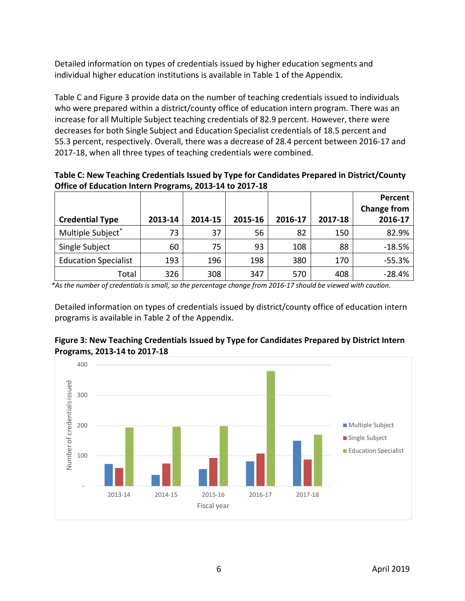Detailed information on types of credentials issued by higher education segments and individual higher education institutions is available in Table 1 of the Appendix*.*

Table C and Figure 3 provide data on the number of teaching credentials issued to individuals who were prepared within a district/county office of education intern program. There was an increase for all Multiple Subject teaching credentials of 82.9 percent. However, there were decreases for both Single Subject and Education Specialist credentials of 18.5 percent and 55.3 percent, respectively. Overall, there was a decrease of 28.4 percent between 2016-17 and 2017-18, when all three types of teaching credentials were combined.

**Table C: New Teaching Credentials Issued by Type for Candidates Prepared in District/County Office of Education Intern Programs, 2013-14 to 2017-18**

| <b>Credential Type</b>      | 2013-14 | 2014-15 | 2015-16 | 2016-17 | 2017-18 | Percent<br><b>Change from</b><br>2016-17 |
|-----------------------------|---------|---------|---------|---------|---------|------------------------------------------|
| Multiple Subject*           | 73      | 37      | 56      | 82      | 150     | 82.9%                                    |
| Single Subject              | 60      | 75      | 93      | 108     | 88      | $-18.5%$                                 |
| <b>Education Specialist</b> | 193     | 196     | 198     | 380     | 170     | $-55.3%$                                 |
| Total                       | 326     | 308     | 347     | 570     | 408     | $-28.4%$                                 |

*\*As the number of credentials is small, so the percentage change from 2016-17 should be viewed with caution.*

Detailed information on types of credentials issued by district/county office of education intern programs is available in Table 2 of the Appendix.



# **Figure 3: New Teaching Credentials Issued by Type for Candidates Prepared by District Intern Programs, 2013-14 to 2017-18**

2013-14 2014-15 2015-16 2016-17 2017-18

Fiscal year

-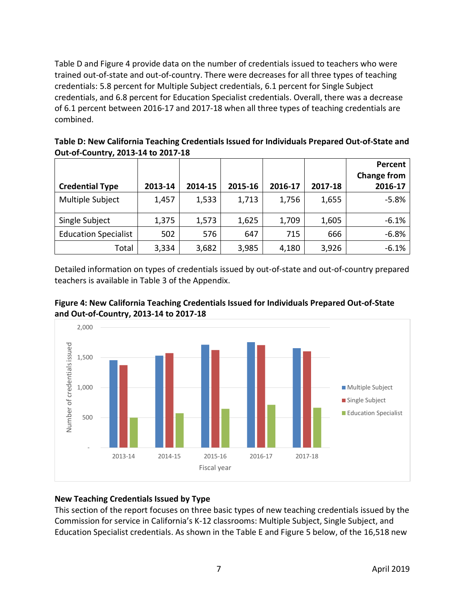Table D and Figure 4 provide data on the number of credentials issued to teachers who were trained out-of-state and out-of-country. There were decreases for all three types of teaching credentials: 5.8 percent for Multiple Subject credentials, 6.1 percent for Single Subject credentials, and 6.8 percent for Education Specialist credentials. Overall, there was a decrease of 6.1 percent between 2016-17 and 2017-18 when all three types of teaching credentials are combined.

**Table D: New California Teaching Credentials Issued for Individuals Prepared Out-of-State and Out-of-Country, 2013-14 to 2017-18**

|                             |         |         |         |         |         | Percent<br><b>Change from</b> |
|-----------------------------|---------|---------|---------|---------|---------|-------------------------------|
| <b>Credential Type</b>      | 2013-14 | 2014-15 | 2015-16 | 2016-17 | 2017-18 | 2016-17                       |
| Multiple Subject            | 1,457   | 1,533   | 1,713   | 1,756   | 1,655   | $-5.8%$                       |
| Single Subject              | 1,375   | 1,573   | 1,625   | 1,709   | 1,605   | $-6.1%$                       |
| <b>Education Specialist</b> | 502     | 576     | 647     | 715     | 666     | $-6.8%$                       |
| Total                       | 3,334   | 3,682   | 3,985   | 4,180   | 3,926   | $-6.1%$                       |

Detailed information on types of credentials issued by out-of-state and out-of-country prepared teachers is available in Table 3 of the Appendix.





# **New Teaching Credentials Issued by Type**

This section of the report focuses on three basic types of new teaching credentials issued by the Commission for service in California's K-12 classrooms: Multiple Subject, Single Subject, and Education Specialist credentials. As shown in the Table E and Figure 5 below, of the 16,518 new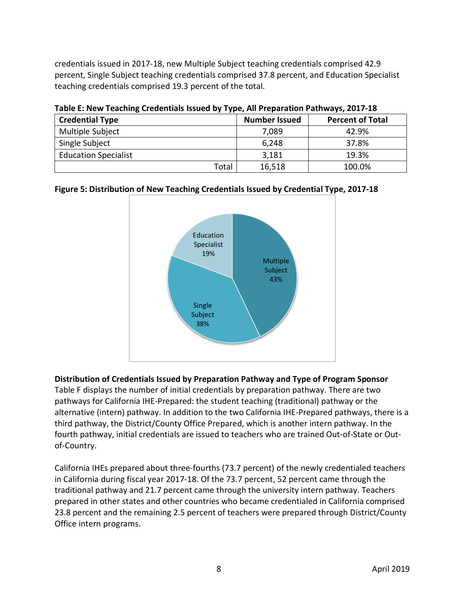credentials issued in 2017-18, new Multiple Subject teaching credentials comprised 42.9 percent, Single Subject teaching credentials comprised 37.8 percent, and Education Specialist teaching credentials comprised 19.3 percent of the total.

| Table L. New Teaching Creatinials issued by Type, All Fieparation Fathways, 2017-10 |                      |                         |  |  |  |  |
|-------------------------------------------------------------------------------------|----------------------|-------------------------|--|--|--|--|
| <b>Credential Type</b>                                                              | <b>Number Issued</b> | <b>Percent of Total</b> |  |  |  |  |
| Multiple Subject                                                                    | 7,089                | 42.9%                   |  |  |  |  |
| Single Subject                                                                      | 6,248                | 37.8%                   |  |  |  |  |
| <b>Education Specialist</b>                                                         | 3,181                | 19.3%                   |  |  |  |  |
| Total                                                                               | 16,518               | 100.0%                  |  |  |  |  |

**Table E: New Teaching Credentials Issued by Type, All Preparation Pathways, 2017-18**

#### **Figure 5: Distribution of New Teaching Credentials Issued by Credential Type, 2017-18**



# **Distribution of Credentials Issued by Preparation Pathway and Type of Program Sponsor**

Table F displays the number of initial credentials by preparation pathway. There are two pathways for California IHE-Prepared: the student teaching (traditional) pathway or the alternative (intern) pathway. In addition to the two California IHE-Prepared pathways, there is a third pathway, the District/County Office Prepared, which is another intern pathway. In the fourth pathway, initial credentials are issued to teachers who are trained Out-of-State or Outof-Country.

California IHEs prepared about three-fourths (73.7 percent) of the newly credentialed teachers in California during fiscal year 2017-18. Of the 73.7 percent, 52 percent came through the traditional pathway and 21.7 percent came through the university intern pathway. Teachers prepared in other states and other countries who became credentialed in California comprised 23.8 percent and the remaining 2.5 percent of teachers were prepared through District/County Office intern programs.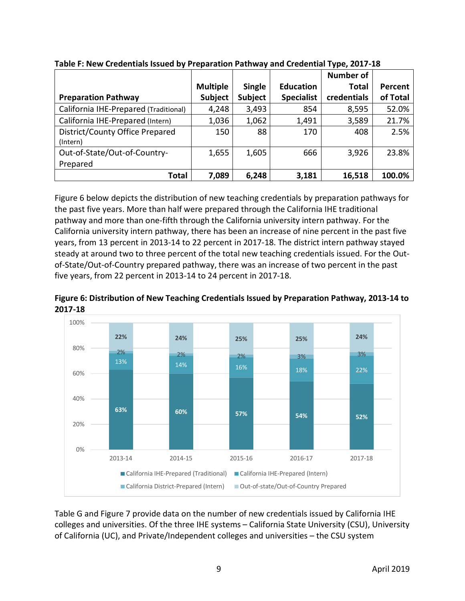|                                       |                 |               |                   | <b>Number of</b> |          |
|---------------------------------------|-----------------|---------------|-------------------|------------------|----------|
|                                       | <b>Multiple</b> | <b>Single</b> | <b>Education</b>  | Total            | Percent  |
| <b>Preparation Pathway</b>            | <b>Subject</b>  | Subject       | <b>Specialist</b> | credentials      | of Total |
| California IHE-Prepared (Traditional) | 4,248           | 3,493         | 854               | 8,595            | 52.0%    |
| California IHE-Prepared (Intern)      | 1,036           | 1,062         | 1,491             | 3,589            | 21.7%    |
| District/County Office Prepared       | 150             | 88            | 170               | 408              | 2.5%     |
| (Intern)                              |                 |               |                   |                  |          |
| Out-of-State/Out-of-Country-          | 1,655           | 1,605         | 666               | 3,926            | 23.8%    |
| Prepared                              |                 |               |                   |                  |          |
| <b>Total</b>                          | 7,089           | 6,248         | 3,181             | 16,518           | 100.0%   |

**Table F: New Credentials Issued by Preparation Pathway and Credential Type, 2017-18**

Figure 6 below depicts the distribution of new teaching credentials by preparation pathways for the past five years. More than half were prepared through the California IHE traditional pathway and more than one-fifth through the California university intern pathway. For the California university intern pathway, there has been an increase of nine percent in the past five years, from 13 percent in 2013-14 to 22 percent in 2017-18. The district intern pathway stayed steady at around two to three percent of the total new teaching credentials issued. For the Outof-State/Out-of-Country prepared pathway, there was an increase of two percent in the past five years, from 22 percent in 2013-14 to 24 percent in 2017-18.

**Figure 6: Distribution of New Teaching Credentials Issued by Preparation Pathway, 2013-14 to 2017-18**



Table G and Figure 7 provide data on the number of new credentials issued by California IHE colleges and universities. Of the three IHE systems – California State University (CSU), University of California (UC), and Private/Independent colleges and universities – the CSU system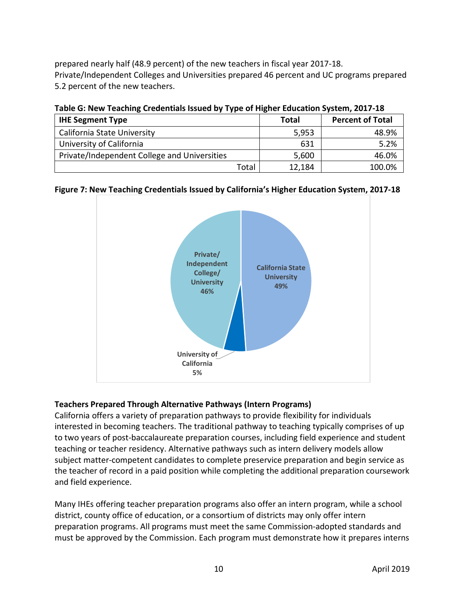prepared nearly half (48.9 percent) of the new teachers in fiscal year 2017-18. Private/Independent Colleges and Universities prepared 46 percent and UC programs prepared 5.2 percent of the new teachers.

| <b>TWEE OF HEW TEGGHING CIENCINIOUS ISSUED BY TYPE OF HISHEI EQUEDITIVISYSICIII, 4947-40</b> |              |                         |  |  |  |  |
|----------------------------------------------------------------------------------------------|--------------|-------------------------|--|--|--|--|
| <b>IHE Segment Type</b>                                                                      | <b>Total</b> | <b>Percent of Total</b> |  |  |  |  |
| California State University                                                                  | 5,953        | 48.9%                   |  |  |  |  |
| University of California                                                                     | 631          | 5.2%                    |  |  |  |  |
| Private/Independent College and Universities                                                 | 5,600        | 46.0%                   |  |  |  |  |

**Table G: New Teaching Credentials Issued by Type of Higher Education System, 2017-18**

#### **Figure 7: New Teaching Credentials Issued by California's Higher Education System, 2017-18**

Total 12,184 100.0%



# **Teachers Prepared Through Alternative Pathways (Intern Programs)**

California offers a variety of preparation pathways to provide flexibility for individuals interested in becoming teachers. The traditional pathway to teaching typically comprises of up to two years of post-baccalaureate preparation courses, including field experience and student teaching or teacher residency. Alternative pathways such as intern delivery models allow subject matter-competent candidates to complete preservice preparation and begin service as the teacher of record in a paid position while completing the additional preparation coursework and field experience.

Many IHEs offering teacher preparation programs also offer an intern program, while a school district, county office of education, or a consortium of districts may only offer intern preparation programs. All programs must meet the same Commission-adopted standards and must be approved by the Commission. Each program must demonstrate how it prepares interns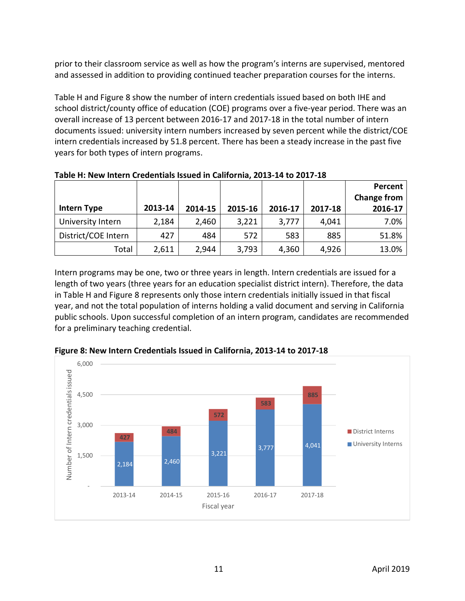prior to their classroom service as well as how the program's interns are supervised, mentored and assessed in addition to providing continued teacher preparation courses for the interns.

Table H and Figure 8 show the number of intern credentials issued based on both IHE and school district/county office of education (COE) programs over a five-year period. There was an overall increase of 13 percent between 2016-17 and 2017-18 in the total number of intern documents issued: university intern numbers increased by seven percent while the district/COE intern credentials increased by 51.8 percent. There has been a steady increase in the past five years for both types of intern programs.

| <b>Intern Type</b>  | 2013-14 | 2014-15 | 2015-16 | 2016-17 | 2017-18 | Percent<br><b>Change from</b><br>2016-17 |
|---------------------|---------|---------|---------|---------|---------|------------------------------------------|
| University Intern   | 2,184   | 2,460   | 3,221   | 3,777   | 4,041   | 7.0%                                     |
| District/COE Intern | 427     | 484     | 572     | 583     | 885     | 51.8%                                    |
| Total               | 2,611   | 2,944   | 3,793   | 4,360   | 4,926   | 13.0%                                    |

**Table H: New Intern Credentials Issued in California, 2013-14 to 2017-18**

Intern programs may be one, two or three years in length. Intern credentials are issued for a length of two years (three years for an education specialist district intern). Therefore, the data in Table H and Figure 8 represents only those intern credentials initially issued in that fiscal year, and not the total population of interns holding a valid document and serving in California public schools. Upon successful completion of an intern program, candidates are recommended for a preliminary teaching credential.



**Figure 8: New Intern Credentials Issued in California, 2013-14 to 2017-18**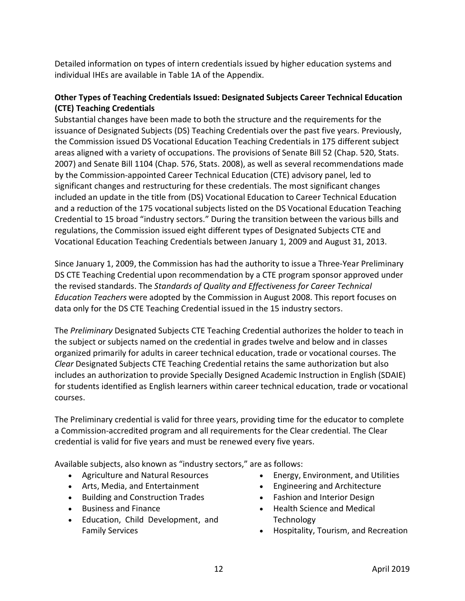Detailed information on types of intern credentials issued by higher education systems and individual IHEs are available in Table 1A of the Appendix.

# **Other Types of Teaching Credentials Issued: Designated Subjects Career Technical Education (CTE) Teaching Credentials**

Substantial changes have been made to both the structure and the requirements for the issuance of Designated Subjects (DS) Teaching Credentials over the past five years. Previously, the Commission issued DS Vocational Education Teaching Credentials in 175 different subject areas aligned with a variety of occupations. The provisions of Senate Bill 52 (Chap. 520, Stats. 2007) and Senate Bill 1104 (Chap. 576, Stats. 2008), as well as several recommendations made by the Commission-appointed Career Technical Education (CTE) advisory panel, led to significant changes and restructuring for these credentials. The most significant changes included an update in the title from (DS) Vocational Education to Career Technical Education and a reduction of the 175 vocational subjects listed on the DS Vocational Education Teaching Credential to 15 broad "industry sectors." During the transition between the various bills and regulations, the Commission issued eight different types of Designated Subjects CTE and Vocational Education Teaching Credentials between January 1, 2009 and August 31, 2013.

Since January 1, 2009, the Commission has had the authority to issue a Three-Year Preliminary DS CTE Teaching Credential upon recommendation by a CTE program sponsor approved under the revised standards. The *Standards of Quality and Effectiveness for Career Technical Education Teachers* were adopted by the Commission in August 2008. This report focuses on data only for the DS CTE Teaching Credential issued in the 15 industry sectors.

The *Preliminary* Designated Subjects CTE Teaching Credential authorizes the holder to teach in the subject or subjects named on the credential in grades twelve and below and in classes organized primarily for adults in career technical education, trade or vocational courses. The *Clear* Designated Subjects CTE Teaching Credential retains the same authorization but also includes an authorization to provide Specially Designed Academic Instruction in English (SDAIE) for students identified as English learners within career technical education, trade or vocational courses.

The Preliminary credential is valid for three years, providing time for the educator to complete a Commission-accredited program and all requirements for the Clear credential. The Clear credential is valid for five years and must be renewed every five years.

Available subjects, also known as "industry sectors," are as follows:

- Agriculture and Natural Resources
- Arts, Media, and Entertainment
- Building and Construction Trades
- Business and Finance
- Education, Child Development, and Family Services
- Energy, Environment, and Utilities
- Engineering and Architecture
- Fashion and Interior Design
- Health Science and Medical **Technology**
- Hospitality, Tourism, and Recreation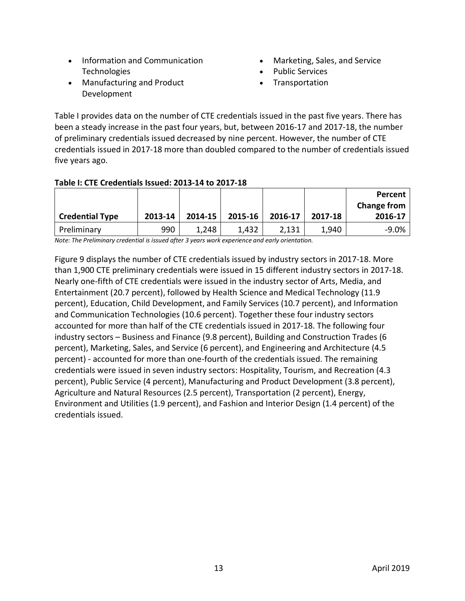- Information and Communication Technologies
- Manufacturing and Product Development
- Marketing, Sales, and Service
- Public Services
- **Transportation**

Table I provides data on the number of CTE credentials issued in the past five years. There has been a steady increase in the past four years, but, between 2016-17 and 2017-18, the number of preliminary credentials issued decreased by nine percent. However, the number of CTE credentials issued in 2017-18 more than doubled compared to the number of credentials issued five years ago.

#### **Table I: CTE Credentials Issued: 2013-14 to 2017-18**

|                        |         |         |         |         |         | Percent            |
|------------------------|---------|---------|---------|---------|---------|--------------------|
|                        |         |         |         |         |         | <b>Change from</b> |
| <b>Credential Type</b> | 2013-14 | 2014-15 | 2015-16 | 2016-17 | 2017-18 | 2016-17            |
| Preliminary            | 990     | 1,248   | 1,432   | 2,131   | 1,940   | $-9.0\%$           |

*Note: The Preliminary credential is issued after 3 years work experience and early orientation.*

Figure 9 displays the number of CTE credentials issued by industry sectors in 2017-18. More than 1,900 CTE preliminary credentials were issued in 15 different industry sectors in 2017-18. Nearly one-fifth of CTE credentials were issued in the industry sector of Arts, Media, and Entertainment (20.7 percent), followed by Health Science and Medical Technology (11.9 percent), Education, Child Development, and Family Services (10.7 percent), and Information and Communication Technologies (10.6 percent). Together these four industry sectors accounted for more than half of the CTE credentials issued in 2017-18. The following four industry sectors – Business and Finance (9.8 percent), Building and Construction Trades (6 percent), Marketing, Sales, and Service (6 percent), and Engineering and Architecture (4.5 percent) - accounted for more than one-fourth of the credentials issued. The remaining credentials were issued in seven industry sectors: Hospitality, Tourism, and Recreation (4.3 percent), Public Service (4 percent), Manufacturing and Product Development (3.8 percent), Agriculture and Natural Resources (2.5 percent), Transportation (2 percent), Energy, Environment and Utilities (1.9 percent), and Fashion and Interior Design (1.4 percent) of the credentials issued.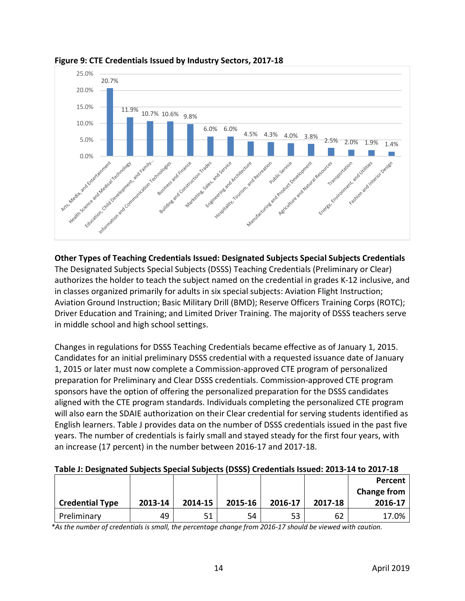



**Other Types of Teaching Credentials Issued: Designated Subjects Special Subjects Credentials** The Designated Subjects Special Subjects (DSSS) Teaching Credentials (Preliminary or Clear) authorizes the holder to teach the subject named on the credential in grades K-12 inclusive, and in classes organized primarily for adults in six special subjects: Aviation Flight Instruction; Aviation Ground Instruction; Basic Military Drill (BMD); Reserve Officers Training Corps (ROTC); Driver Education and Training; and Limited Driver Training. The majority of DSSS teachers serve in middle school and high school settings.

Changes in regulations for DSSS Teaching Credentials became effective as of January 1, 2015. Candidates for an initial preliminary DSSS credential with a requested issuance date of January 1, 2015 or later must now complete a Commission-approved CTE program of personalized preparation for Preliminary and Clear DSSS credentials. Commission-approved CTE program sponsors have the option of offering the personalized preparation for the DSSS candidates aligned with the CTE program standards. Individuals completing the personalized CTE program will also earn the SDAIE authorization on their Clear credential for serving students identified as English learners. Table J provides data on the number of DSSS credentials issued in the past five years. The number of credentials is fairly small and stayed steady for the first four years, with an increase (17 percent) in the number between 2016-17 and 2017-18.

|  | Table J: Designated Subjects Special Subjects (DSSS) Credentials Issued: 2013-14 to 2017-18 |
|--|---------------------------------------------------------------------------------------------|
|--|---------------------------------------------------------------------------------------------|

|                        |         |         |         |         |         | Percent<br><b>Change from</b> |
|------------------------|---------|---------|---------|---------|---------|-------------------------------|
| <b>Credential Type</b> | 2013-14 | 2014-15 | 2015-16 | 2016-17 | 2017-18 | 2016-17                       |
| Preliminary            | 49      | 51      | 54      | 53      | 62      | 17.0%                         |

*\*As the number of credentials is small, the percentage change from 2016-17 should be viewed with caution.*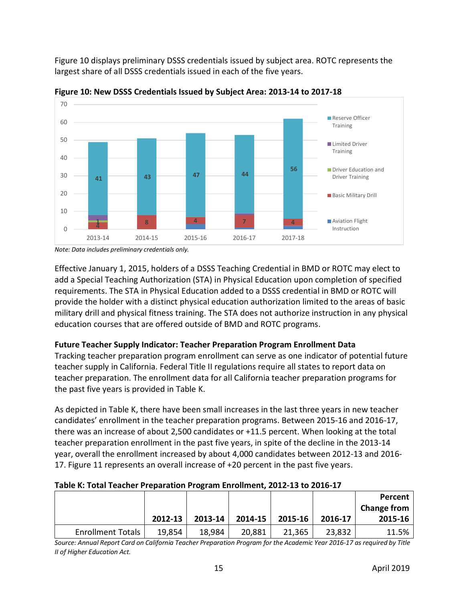Figure 10 displays preliminary DSSS credentials issued by subject area. ROTC represents the largest share of all DSSS credentials issued in each of the five years.



**Figure 10: New DSSS Credentials Issued by Subject Area: 2013-14 to 2017-18**

*Note: Data includes preliminary credentials only.*

Effective January 1, 2015, holders of a DSSS Teaching Credential in BMD or ROTC may elect to add a Special Teaching Authorization (STA) in Physical Education upon completion of specified requirements. The STA in Physical Education added to a DSSS credential in BMD or ROTC will provide the holder with a distinct physical education authorization limited to the areas of basic military drill and physical fitness training. The STA does not authorize instruction in any physical education courses that are offered outside of BMD and ROTC programs.

# **Future Teacher Supply Indicator: Teacher Preparation Program Enrollment Data**

Tracking teacher preparation program enrollment can serve as one indicator of potential future teacher supply in California. Federal Title II regulations require all states to report data on teacher preparation. The enrollment data for all California teacher preparation programs for the past five years is provided in Table K.

As depicted in Table K, there have been small increases in the last three years in new teacher candidates' enrollment in the teacher preparation programs. Between 2015-16 and 2016-17, there was an increase of about 2,500 candidates or +11.5 percent. When looking at the total teacher preparation enrollment in the past five years, in spite of the decline in the 2013-14 year, overall the enrollment increased by about 4,000 candidates between 2012-13 and 2016- 17. Figure 11 represents an overall increase of +20 percent in the past five years.

| <b>TURIC IN TURN TURNICI TTURNTUNUM TTULIUM EIN UNIILUM EUIL IU LU LUIU II</b> |         |             |         |         |         |                    |  |  |  |
|--------------------------------------------------------------------------------|---------|-------------|---------|---------|---------|--------------------|--|--|--|
|                                                                                |         |             |         |         |         | Percent            |  |  |  |
|                                                                                |         |             |         |         |         | <b>Change from</b> |  |  |  |
|                                                                                | 2012-13 | $2013 - 14$ | 2014-15 | 2015-16 | 2016-17 | 2015-16            |  |  |  |
| <b>Enrollment Totals</b>                                                       | 19,854  | 18,984      | 20,881  | 21,365  | 23,832  | 11.5%              |  |  |  |

#### **Table K: Total Teacher Preparation Program Enrollment, 2012-13 to 2016-17**

*Source: Annual Report Card on California Teacher Preparation Program for the Academic Year 2016-17 as required by Title II of Higher Education Act.*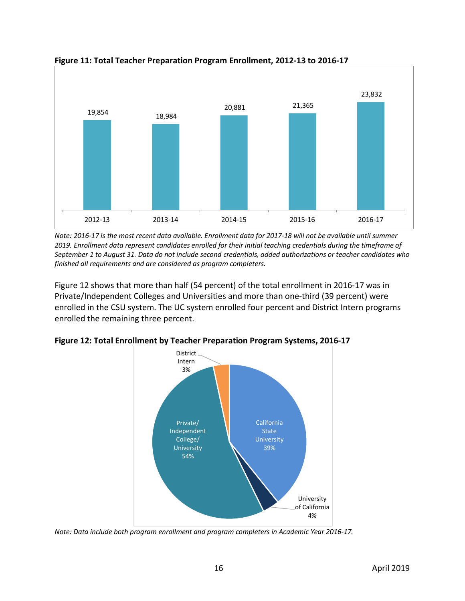

**Figure 11: Total Teacher Preparation Program Enrollment, 2012-13 to 2016-17**

*Note: 2016-17 is the most recent data available. Enrollment data for 2017-18 will not be available until summer 2019. Enrollment data represent candidates enrolled for their initial teaching credentials during the timeframe of September 1 to August 31. Data do not include second credentials, added authorizations or teacher candidates who finished all requirements and are considered as program completers.*

Figure 12 shows that more than half (54 percent) of the total enrollment in 2016-17 was in Private/Independent Colleges and Universities and more than one-third (39 percent) were enrolled in the CSU system. The UC system enrolled four percent and District Intern programs enrolled the remaining three percent.



**Figure 12: Total Enrollment by Teacher Preparation Program Systems, 2016-17**

*Note: Data include both program enrollment and program completers in Academic Year 2016-17.*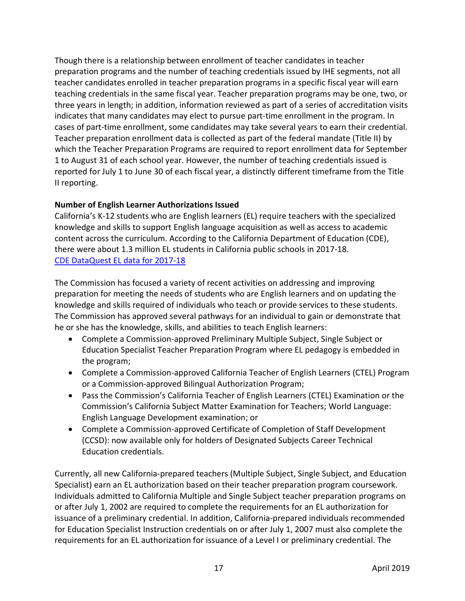Though there is a relationship between enrollment of teacher candidates in teacher preparation programs and the number of teaching credentials issued by IHE segments, not all teacher candidates enrolled in teacher preparation programs in a specific fiscal year will earn teaching credentials in the same fiscal year. Teacher preparation programs may be one, two, or three years in length; in addition, information reviewed as part of a series of accreditation visits indicates that many candidates may elect to pursue part-time enrollment in the program. In cases of part-time enrollment, some candidates may take several years to earn their credential. Teacher preparation enrollment data is collected as part of the federal mandate (Title II) by which the Teacher Preparation Programs are required to report enrollment data for September 1 to August 31 of each school year. However, the number of teaching credentials issued is reported for July 1 to June 30 of each fiscal year, a distinctly different timeframe from the Title II reporting.

# **Number of English Learner Authorizations Issued**

California's K-12 students who are English learners (EL) require teachers with the specialized knowledge and skills to support English language acquisition as well as access to academic content across the curriculum. According to the California Department of Education (CDE), there were about 1.3 million EL students in California public schools in 2017-18. [CDE DataQuest EL data for 2017-18](https://dq.cde.ca.gov/dataquest/longtermel/ELAS.aspx?cds=00&agglevel=State&year=2017-18)

The Commission has focused a variety of recent activities on addressing and improving preparation for meeting the needs of students who are English learners and on updating the knowledge and skills required of individuals who teach or provide services to these students. The Commission has approved several pathways for an individual to gain or demonstrate that he or she has the knowledge, skills, and abilities to teach English learners:

- Complete a Commission-approved Preliminary Multiple Subject, Single Subject or Education Specialist Teacher Preparation Program where EL pedagogy is embedded in the program;
- Complete a Commission-approved California Teacher of English Learners (CTEL) Program or a Commission-approved Bilingual Authorization Program;
- Pass the Commission's California Teacher of English Learners (CTEL) Examination or the Commission's California Subject Matter Examination for Teachers; World Language: English Language Development examination; or
- Complete a Commission-approved Certificate of Completion of Staff Development (CCSD): now available only for holders of Designated Subjects Career Technical Education credentials.

Currently, all new California-prepared teachers (Multiple Subject, Single Subject, and Education Specialist) earn an EL authorization based on their teacher preparation program coursework. Individuals admitted to California Multiple and Single Subject teacher preparation programs on or after July 1, 2002 are required to complete the requirements for an EL authorization for issuance of a preliminary credential. In addition, California-prepared individuals recommended for Education Specialist Instruction credentials on or after July 1, 2007 must also complete the requirements for an EL authorization for issuance of a Level I or preliminary credential. The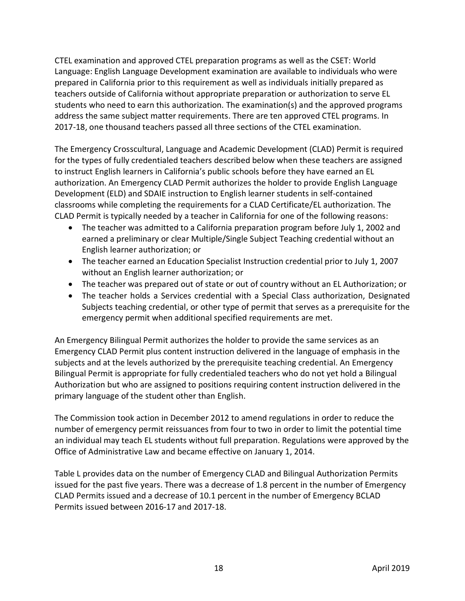CTEL examination and approved CTEL preparation programs as well as the CSET: World Language: English Language Development examination are available to individuals who were prepared in California prior to this requirement as well as individuals initially prepared as teachers outside of California without appropriate preparation or authorization to serve EL students who need to earn this authorization. The examination(s) and the approved programs address the same subject matter requirements. There are ten approved CTEL programs. In 2017-18, one thousand teachers passed all three sections of the CTEL examination.

The Emergency Crosscultural, Language and Academic Development (CLAD) Permit is required for the types of fully credentialed teachers described below when these teachers are assigned to instruct English learners in California's public schools before they have earned an EL authorization. An Emergency CLAD Permit authorizes the holder to provide English Language Development (ELD) and SDAIE instruction to English learner students in self-contained classrooms while completing the requirements for a CLAD Certificate/EL authorization. The CLAD Permit is typically needed by a teacher in California for one of the following reasons:

- The teacher was admitted to a California preparation program before July 1, 2002 and earned a preliminary or clear Multiple/Single Subject Teaching credential without an English learner authorization; or
- The teacher earned an Education Specialist Instruction credential prior to July 1, 2007 without an English learner authorization; or
- The teacher was prepared out of state or out of country without an EL Authorization; or
- The teacher holds a Services credential with a Special Class authorization, Designated Subjects teaching credential, or other type of permit that serves as a prerequisite for the emergency permit when additional specified requirements are met.

An Emergency Bilingual Permit authorizes the holder to provide the same services as an Emergency CLAD Permit plus content instruction delivered in the language of emphasis in the subjects and at the levels authorized by the prerequisite teaching credential. An Emergency Bilingual Permit is appropriate for fully credentialed teachers who do not yet hold a Bilingual Authorization but who are assigned to positions requiring content instruction delivered in the primary language of the student other than English.

The Commission took action in December 2012 to amend regulations in order to reduce the number of emergency permit reissuances from four to two in order to limit the potential time an individual may teach EL students without full preparation. Regulations were approved by the Office of Administrative Law and became effective on January 1, 2014.

Table L provides data on the number of Emergency CLAD and Bilingual Authorization Permits issued for the past five years. There was a decrease of 1.8 percent in the number of Emergency CLAD Permits issued and a decrease of 10.1 percent in the number of Emergency BCLAD Permits issued between 2016-17 and 2017-18.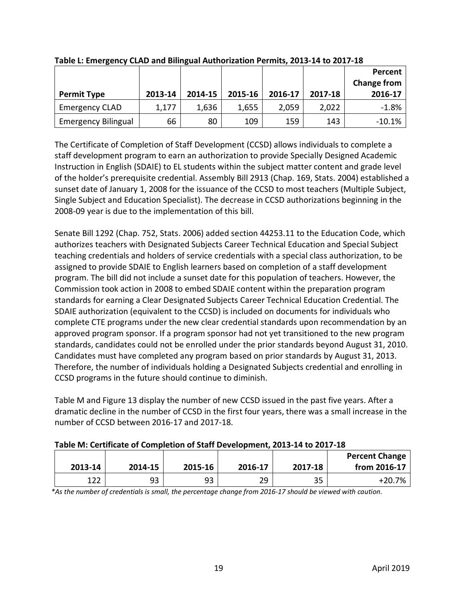|                            |         |         |         |         |         | Percent<br><b>Change from</b> |
|----------------------------|---------|---------|---------|---------|---------|-------------------------------|
| <b>Permit Type</b>         | 2013-14 | 2014-15 | 2015-16 | 2016-17 | 2017-18 | 2016-17                       |
| <b>Emergency CLAD</b>      | 1,177   | 1,636   | 1,655   | 2,059   | 2,022   | $-1.8%$                       |
| <b>Emergency Bilingual</b> | 66      | 80      | 109     | 159     | 143     | $-10.1%$                      |

**Table L: Emergency CLAD and Bilingual Authorization Permits, 2013-14 to 2017-18**

The Certificate of Completion of Staff Development (CCSD) allows individuals to complete a staff development program to earn an authorization to provide Specially Designed Academic Instruction in English (SDAIE) to EL students within the subject matter content and grade level of the holder's prerequisite credential. Assembly Bill 2913 (Chap. 169, Stats. 2004) established a sunset date of January 1, 2008 for the issuance of the CCSD to most teachers (Multiple Subject, Single Subject and Education Specialist). The decrease in CCSD authorizations beginning in the 2008-09 year is due to the implementation of this bill.

Senate Bill 1292 (Chap. 752, Stats. 2006) added section 44253.11 to the Education Code, which authorizes teachers with Designated Subjects Career Technical Education and Special Subject teaching credentials and holders of service credentials with a special class authorization, to be assigned to provide SDAIE to English learners based on completion of a staff development program. The bill did not include a sunset date for this population of teachers. However, the Commission took action in 2008 to embed SDAIE content within the preparation program standards for earning a Clear Designated Subjects Career Technical Education Credential. The SDAIE authorization (equivalent to the CCSD) is included on documents for individuals who complete CTE programs under the new clear credential standards upon recommendation by an approved program sponsor. If a program sponsor had not yet transitioned to the new program standards, candidates could not be enrolled under the prior standards beyond August 31, 2010. Candidates must have completed any program based on prior standards by August 31, 2013. Therefore, the number of individuals holding a Designated Subjects credential and enrolling in CCSD programs in the future should continue to diminish.

Table M and Figure 13 display the number of new CCSD issued in the past five years. After a dramatic decline in the number of CCSD in the first four years, there was a small increase in the number of CCSD between 2016-17 and 2017-18.

|         |         |         |         |         | <b>Percent Change</b> |
|---------|---------|---------|---------|---------|-----------------------|
| 2013-14 | 2014-15 | 2015-16 | 2016-17 | 2017-18 | from 2016-17          |
| 122     | 93      | 93      | 29      | 35      | +20.7%                |

*\*As the number of credentials is small, the percentage change from 2016-17 should be viewed with caution.*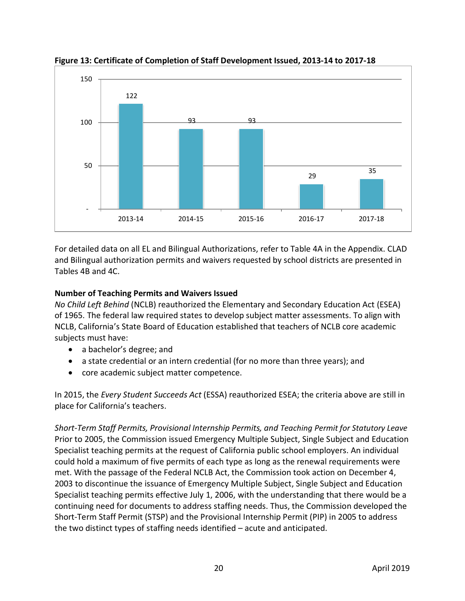

**Figure 13: Certificate of Completion of Staff Development Issued, 2013-14 to 2017-18**

For detailed data on all EL and Bilingual Authorizations, refer to Table 4A in the Appendix. CLAD and Bilingual authorization permits and waivers requested by school districts are presented in Tables 4B and 4C.

# **Number of Teaching Permits and Waivers Issued**

*No Child Left Behind* (NCLB) reauthorized the Elementary and Secondary Education Act (ESEA) of 1965. The federal law required states to develop subject matter assessments. To align with NCLB, California's State Board of Education established that teachers of NCLB core academic subjects must have:

- a bachelor's degree; and
- a state credential or an intern credential (for no more than three years); and
- core academic subject matter competence.

In 2015, the *Every Student Succeeds Act* (ESSA) reauthorized ESEA; the criteria above are still in place for California's teachers.

*Short-Term Staff Permits, Provisional Internship Permits, and Teaching Permit for Statutory Leave* Prior to 2005, the Commission issued Emergency Multiple Subject, Single Subject and Education Specialist teaching permits at the request of California public school employers. An individual could hold a maximum of five permits of each type as long as the renewal requirements were met. With the passage of the Federal NCLB Act, the Commission took action on December 4, 2003 to discontinue the issuance of Emergency Multiple Subject, Single Subject and Education Specialist teaching permits effective July 1, 2006, with the understanding that there would be a continuing need for documents to address staffing needs. Thus, the Commission developed the Short-Term Staff Permit (STSP) and the Provisional Internship Permit (PIP) in 2005 to address the two distinct types of staffing needs identified – acute and anticipated.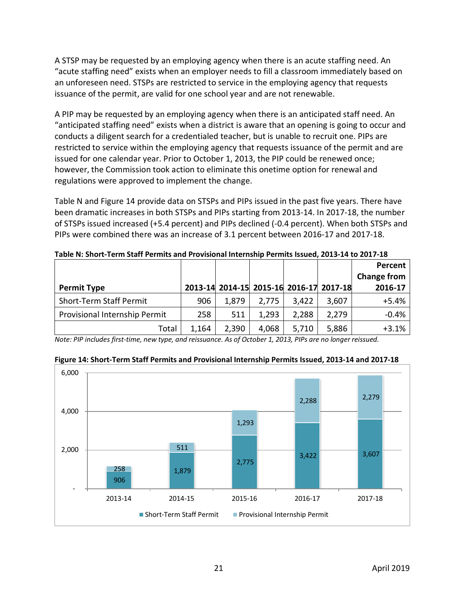A STSP may be requested by an employing agency when there is an acute staffing need. An "acute staffing need" exists when an employer needs to fill a classroom immediately based on an unforeseen need. STSPs are restricted to service in the employing agency that requests issuance of the permit, are valid for one school year and are not renewable.

A PIP may be requested by an employing agency when there is an anticipated staff need. An "anticipated staffing need" exists when a district is aware that an opening is going to occur and conducts a diligent search for a credentialed teacher, but is unable to recruit one. PIPs are restricted to service within the employing agency that requests issuance of the permit and are issued for one calendar year. Prior to October 1, 2013, the PIP could be renewed once; however, the Commission took action to eliminate this onetime option for renewal and regulations were approved to implement the change.

Table N and Figure 14 provide data on STSPs and PIPs issued in the past five years. There have been dramatic increases in both STSPs and PIPs starting from 2013-14. In 2017-18, the number of STSPs issued increased (+5.4 percent) and PIPs declined (-0.4 percent). When both STSPs and PIPs were combined there was an increase of 3.1 percent between 2016-17 and 2017-18.

|                                |       |                                         |       |       |       | Percent            |
|--------------------------------|-------|-----------------------------------------|-------|-------|-------|--------------------|
|                                |       |                                         |       |       |       | <b>Change from</b> |
| <b>Permit Type</b>             |       | 2013-14 2014-15 2015-16 2016-17 2017-18 |       |       |       | 2016-17            |
| <b>Short-Term Staff Permit</b> | 906   | 1,879                                   | 2,775 | 3,422 | 3,607 | $+5.4%$            |
| Provisional Internship Permit  | 258   | 511                                     | 1,293 | 2,288 | 2,279 | $-0.4%$            |
| Total                          | 1,164 | 2,390                                   | 4,068 | 5,710 | 5,886 | $+3.1%$            |

**Table N: Short-Term Staff Permits and Provisional Internship Permits Issued, 2013-14 to 2017-18**

*Note: PIP includes first-time, new type, and reissuance. As of October 1, 2013, PIPs are no longer reissued.*



**Figure 14: Short-Term Staff Permits and Provisional Internship Permits Issued, 2013-14 and 2017-18**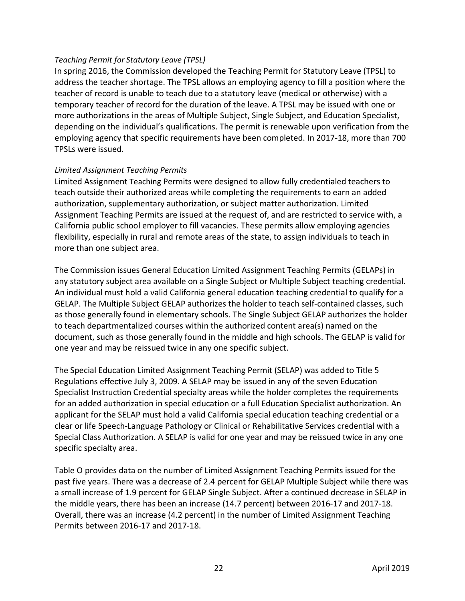#### *Teaching Permit for Statutory Leave (TPSL)*

In spring 2016, the Commission developed the Teaching Permit for Statutory Leave (TPSL) to address the teacher shortage. The TPSL allows an employing agency to fill a position where the teacher of record is unable to teach due to a statutory leave (medical or otherwise) with a temporary teacher of record for the duration of the leave. A TPSL may be issued with one or more authorizations in the areas of Multiple Subject, Single Subject, and Education Specialist, depending on the individual's qualifications. The permit is renewable upon verification from the employing agency that specific requirements have been completed. In 2017-18, more than 700 TPSLs were issued.

#### *Limited Assignment Teaching Permits*

Limited Assignment Teaching Permits were designed to allow fully credentialed teachers to teach outside their authorized areas while completing the requirements to earn an added authorization, supplementary authorization, or subject matter authorization. Limited Assignment Teaching Permits are issued at the request of, and are restricted to service with, a California public school employer to fill vacancies. These permits allow employing agencies flexibility, especially in rural and remote areas of the state, to assign individuals to teach in more than one subject area.

The Commission issues General Education Limited Assignment Teaching Permits (GELAPs) in any statutory subject area available on a Single Subject or Multiple Subject teaching credential. An individual must hold a valid California general education teaching credential to qualify for a GELAP. The Multiple Subject GELAP authorizes the holder to teach self-contained classes, such as those generally found in elementary schools. The Single Subject GELAP authorizes the holder to teach departmentalized courses within the authorized content area(s) named on the document, such as those generally found in the middle and high schools. The GELAP is valid for one year and may be reissued twice in any one specific subject.

The Special Education Limited Assignment Teaching Permit (SELAP) was added to Title 5 Regulations effective July 3, 2009. A SELAP may be issued in any of the seven Education Specialist Instruction Credential specialty areas while the holder completes the requirements for an added authorization in special education or a full Education Specialist authorization. An applicant for the SELAP must hold a valid California special education teaching credential or a clear or life Speech-Language Pathology or Clinical or Rehabilitative Services credential with a Special Class Authorization. A SELAP is valid for one year and may be reissued twice in any one specific specialty area.

Table O provides data on the number of Limited Assignment Teaching Permits issued for the past five years. There was a decrease of 2.4 percent for GELAP Multiple Subject while there was a small increase of 1.9 percent for GELAP Single Subject. After a continued decrease in SELAP in the middle years, there has been an increase (14.7 percent) between 2016-17 and 2017-18. Overall, there was an increase (4.2 percent) in the number of Limited Assignment Teaching Permits between 2016-17 and 2017-18.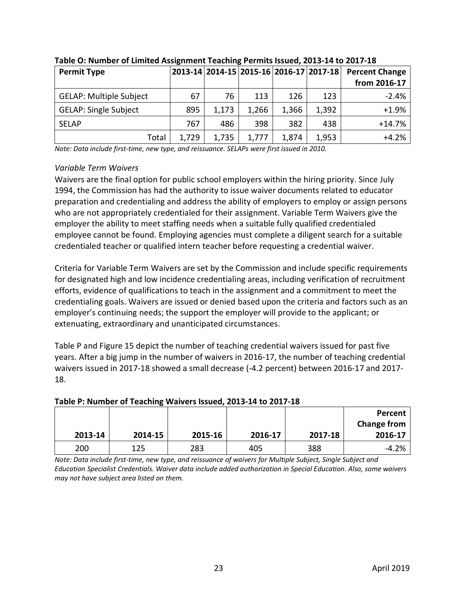| <b>Permit Type</b>             |       |       |       |       | 2013-14 2014-15 2015-16 2016-17 2017-18 | <b>Percent Change</b> |
|--------------------------------|-------|-------|-------|-------|-----------------------------------------|-----------------------|
|                                |       |       |       |       |                                         | from 2016-17          |
| <b>GELAP: Multiple Subject</b> | 67    | 76    | 113   | 126   | 123                                     | $-2.4%$               |
| <b>GELAP: Single Subject</b>   | 895   | 1,173 | 1,266 | 1,366 | 1,392                                   | $+1.9%$               |
| <b>SELAP</b>                   | 767   | 486   | 398   | 382   | 438                                     | $+14.7%$              |
| Total                          | 1,729 | 1,735 | 1,777 | 1,874 | 1,953                                   | $+4.2%$               |

# **Table O: Number of Limited Assignment Teaching Permits Issued, 2013-14 to 2017-18**

*Note: Data include first-time, new type, and reissuance. SELAPs were first issued in 2010.* 

#### *Variable Term Waivers*

Waivers are the final option for public school employers within the hiring priority. Since July 1994, the Commission has had the authority to issue waiver documents related to educator preparation and credentialing and address the ability of employers to employ or assign persons who are not appropriately credentialed for their assignment. Variable Term Waivers give the employer the ability to meet staffing needs when a suitable fully qualified credentialed employee cannot be found. Employing agencies must complete a diligent search for a suitable credentialed teacher or qualified intern teacher before requesting a credential waiver.

Criteria for Variable Term Waivers are set by the Commission and include specific requirements for designated high and low incidence credentialing areas, including verification of recruitment efforts, evidence of qualifications to teach in the assignment and a commitment to meet the credentialing goals. Waivers are issued or denied based upon the criteria and factors such as an employer's continuing needs; the support the employer will provide to the applicant; or extenuating, extraordinary and unanticipated circumstances.

Table P and Figure 15 depict the number of teaching credential waivers issued for past five years. After a big jump in the number of waivers in 2016-17, the number of teaching credential waivers issued in 2017-18 showed a small decrease (-4.2 percent) between 2016-17 and 2017- 18.

#### **2013-14 2014-15 2015-16 2016-17 2017-18 Percent Change from 2016-17** 200 125 283 405 388 -4.2%

# **Table P: Number of Teaching Waivers Issued, 2013-14 to 2017-18**

*Note: Data include first-time, new type, and reissuance of waivers for Multiple Subject, Single Subject and Education Specialist Credentials. Waiver data include added authorization in Special Education. Also, some waivers may not have subject area listed on them.*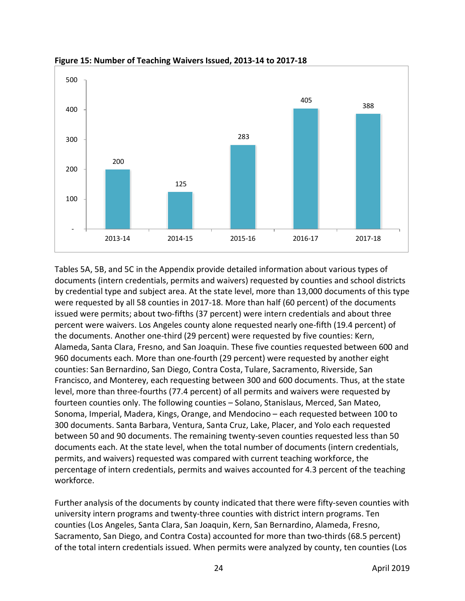

**Figure 15: Number of Teaching Waivers Issued, 2013-14 to 2017-18**

Tables 5A, 5B, and 5C in the Appendix provide detailed information about various types of documents (intern credentials, permits and waivers) requested by counties and school districts by credential type and subject area. At the state level, more than 13,000 documents of this type were requested by all 58 counties in 2017-18. More than half (60 percent) of the documents issued were permits; about two-fifths (37 percent) were intern credentials and about three percent were waivers. Los Angeles county alone requested nearly one-fifth (19.4 percent) of the documents. Another one-third (29 percent) were requested by five counties: Kern, Alameda, Santa Clara, Fresno, and San Joaquin. These five counties requested between 600 and 960 documents each. More than one-fourth (29 percent) were requested by another eight counties: San Bernardino, San Diego, Contra Costa, Tulare, Sacramento, Riverside, San Francisco, and Monterey, each requesting between 300 and 600 documents. Thus, at the state level, more than three-fourths (77.4 percent) of all permits and waivers were requested by fourteen counties only. The following counties – Solano, Stanislaus, Merced, San Mateo, Sonoma, Imperial, Madera, Kings, Orange, and Mendocino – each requested between 100 to 300 documents. Santa Barbara, Ventura, Santa Cruz, Lake, Placer, and Yolo each requested between 50 and 90 documents. The remaining twenty-seven counties requested less than 50 documents each. At the state level, when the total number of documents (intern credentials, permits, and waivers) requested was compared with current teaching workforce, the percentage of intern credentials, permits and waives accounted for 4.3 percent of the teaching workforce.

Further analysis of the documents by county indicated that there were fifty-seven counties with university intern programs and twenty-three counties with district intern programs. Ten counties (Los Angeles, Santa Clara, San Joaquin, Kern, San Bernardino, Alameda, Fresno, Sacramento, San Diego, and Contra Costa) accounted for more than two-thirds (68.5 percent) of the total intern credentials issued. When permits were analyzed by county, ten counties (Los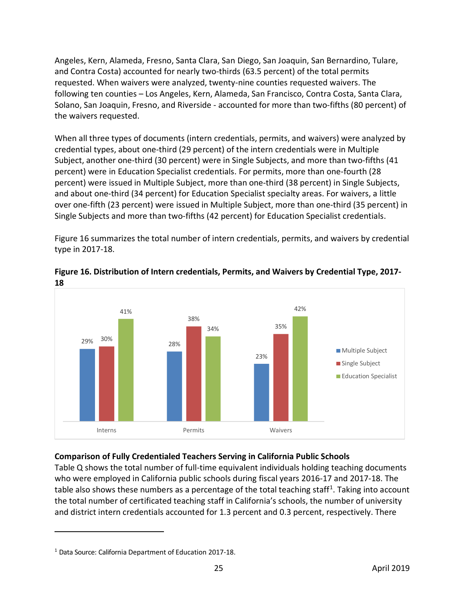Angeles, Kern, Alameda, Fresno, Santa Clara, San Diego, San Joaquin, San Bernardino, Tulare, and Contra Costa) accounted for nearly two-thirds (63.5 percent) of the total permits requested. When waivers were analyzed, twenty-nine counties requested waivers. The following ten counties – Los Angeles, Kern, Alameda, San Francisco, Contra Costa, Santa Clara, Solano, San Joaquin, Fresno, and Riverside - accounted for more than two-fifths (80 percent) of the waivers requested.

When all three types of documents (intern credentials, permits, and waivers) were analyzed by credential types, about one-third (29 percent) of the intern credentials were in Multiple Subject, another one-third (30 percent) were in Single Subjects, and more than two-fifths (41 percent) were in Education Specialist credentials. For permits, more than one-fourth (28 percent) were issued in Multiple Subject, more than one-third (38 percent) in Single Subjects, and about one-third (34 percent) for Education Specialist specialty areas. For waivers, a little over one-fifth (23 percent) were issued in Multiple Subject, more than one-third (35 percent) in Single Subjects and more than two-fifths (42 percent) for Education Specialist credentials.

Figure 16 summarizes the total number of intern credentials, permits, and waivers by credential type in 2017-18.



#### **Figure 16. Distribution of Intern credentials, Permits, and Waivers by Credential Type, 2017- 18**

# **Comparison of Fully Credentialed Teachers Serving in California Public Schools**

Table Q shows the total number of full-time equivalent individuals holding teaching documents who were employed in California public schools during fiscal years 2016-17 and 2017-18. The table also shows these numbers as a percentage of the total teaching staff<sup>[1](#page-27-0)</sup>. Taking into account the total number of certificated teaching staff in California's schools, the number of university and district intern credentials accounted for 1.3 percent and 0.3 percent, respectively. There

<span id="page-27-0"></span><sup>1</sup> Data Source: California Department of Education 201**7**-1**8**.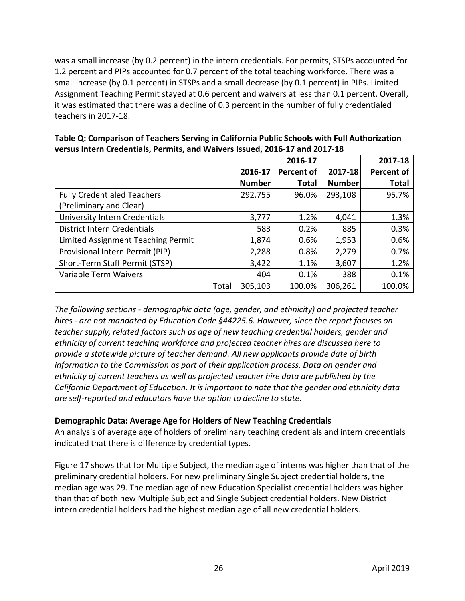was a small increase (by 0.2 percent) in the intern credentials. For permits, STSPs accounted for 1.2 percent and PIPs accounted for 0.7 percent of the total teaching workforce. There was a small increase (by 0.1 percent) in STSPs and a small decrease (by 0.1 percent) in PIPs. Limited Assignment Teaching Permit stayed at 0.6 percent and waivers at less than 0.1 percent. Overall, it was estimated that there was a decline of 0.3 percent in the number of fully credentialed teachers in 2017-18.

|                                    |               | 2016-17           |               | 2017-18           |
|------------------------------------|---------------|-------------------|---------------|-------------------|
|                                    | 2016-17       | <b>Percent of</b> | 2017-18       | <b>Percent of</b> |
|                                    | <b>Number</b> | <b>Total</b>      | <b>Number</b> | <b>Total</b>      |
| <b>Fully Credentialed Teachers</b> | 292,755       | 96.0%             | 293,108       | 95.7%             |
| (Preliminary and Clear)            |               |                   |               |                   |
| University Intern Credentials      | 3,777         | 1.2%              | 4,041         | 1.3%              |
| <b>District Intern Credentials</b> | 583           | 0.2%              | 885           | 0.3%              |
| Limited Assignment Teaching Permit | 1,874         | 0.6%              | 1,953         | 0.6%              |
| Provisional Intern Permit (PIP)    | 2,288         | 0.8%              | 2,279         | 0.7%              |
| Short-Term Staff Permit (STSP)     | 3,422         | 1.1%              | 3,607         | 1.2%              |
| Variable Term Waivers              | 404           | 0.1%              | 388           | 0.1%              |
| Total                              | 305,103       | 100.0%            | 306,261       | 100.0%            |

**Table Q: Comparison of Teachers Serving in California Public Schools with Full Authorization versus Intern Credentials, Permits, and Waivers Issued, 2016-17 and 2017-18**

*The following sections - demographic data (age, gender, and ethnicity) and projected teacher hires - are not mandated by Education Code §44225.6. However, since the report focuses on teacher supply, related factors such as age of new teaching credential holders, gender and ethnicity of current teaching workforce and projected teacher hires are discussed here to provide a statewide picture of teacher demand. All new applicants provide date of birth information to the Commission as part of their application process. Data on gender and ethnicity of current teachers as well as projected teacher hire data are published by the California Department of Education. It is important to note that the gender and ethnicity data are self-reported and educators have the option to decline to state.*

#### **Demographic Data: Average Age for Holders of New Teaching Credentials**

An analysis of average age of holders of preliminary teaching credentials and intern credentials indicated that there is difference by credential types.

Figure 17 shows that for Multiple Subject, the median age of interns was higher than that of the preliminary credential holders. For new preliminary Single Subject credential holders, the median age was 29. The median age of new Education Specialist credential holders was higher than that of both new Multiple Subject and Single Subject credential holders. New District intern credential holders had the highest median age of all new credential holders.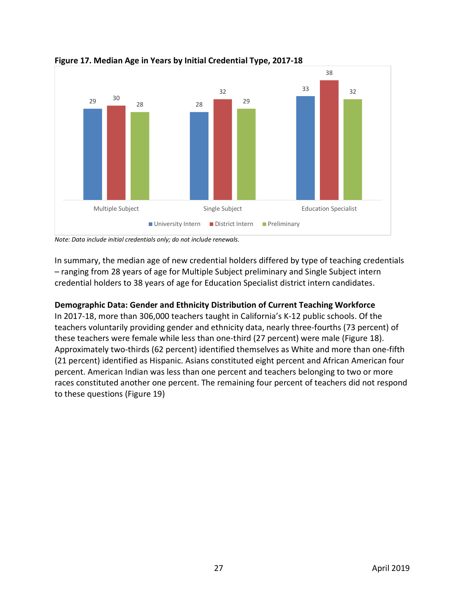

**Figure 17. Median Age in Years by Initial Credential Type, 2017-18**

*Note: Data include initial credentials only; do not include renewals.*

In summary, the median age of new credential holders differed by type of teaching credentials – ranging from 28 years of age for Multiple Subject preliminary and Single Subject intern credential holders to 38 years of age for Education Specialist district intern candidates.

#### **Demographic Data: Gender and Ethnicity Distribution of Current Teaching Workforce**

In 2017-18, more than 306,000 teachers taught in California's K-12 public schools. Of the teachers voluntarily providing gender and ethnicity data, nearly three-fourths (73 percent) of these teachers were female while less than one-third (27 percent) were male (Figure 18). Approximately two-thirds (62 percent) identified themselves as White and more than one-fifth (21 percent) identified as Hispanic. Asians constituted eight percent and African American four percent. American Indian was less than one percent and teachers belonging to two or more races constituted another one percent. The remaining four percent of teachers did not respond to these questions (Figure 19)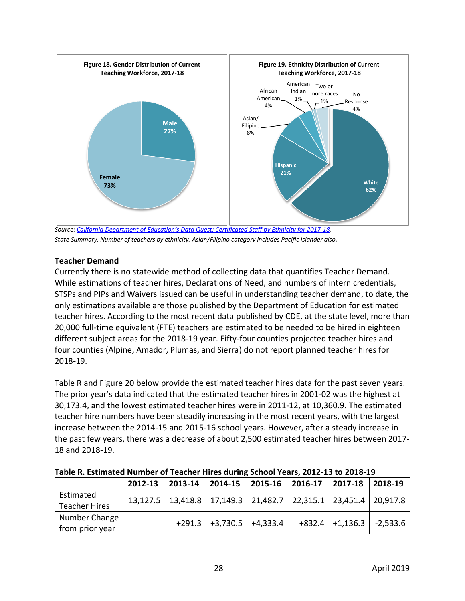

*State Summary, Number of teachers by ethnicity. Asian/Filipino category includes Pacific Islander also.*

# **Teacher Demand**

Currently there is no statewide method of collecting data that quantifies Teacher Demand. While estimations of teacher hires, Declarations of Need, and numbers of intern credentials, STSPs and PIPs and Waivers issued can be useful in understanding teacher demand, to date, the only estimations available are those published by the Department of Education for estimated teacher hires. According to the most recent data published by CDE, at the state level, more than 20,000 full-time equivalent (FTE) teachers are estimated to be needed to be hired in eighteen different subject areas for the 2018-19 year. Fifty-four counties projected teacher hires and four counties (Alpine, Amador, Plumas, and Sierra) do not report planned teacher hires for 2018-19.

Table R and Figure 20 below provide the estimated teacher hires data for the past seven years. The prior year's data indicated that the estimated teacher hires in 2001-02 was the highest at 30,173.4, and the lowest estimated teacher hires were in 2011-12, at 10,360.9. The estimated teacher hire numbers have been steadily increasing in the most recent years, with the largest increase between the 2014-15 and 2015-16 school years. However, after a steady increase in the past few years, there was a decrease of about 2,500 estimated teacher hires between 2017- 18 and 2018-19.

| TURIC IN ESTIMATOR ITAMING: OF TOUGHOF THICS GAMMIN, SUNSON TOURS, EVIL 19 TO EVID 19 |         |                                                                                          |                            |                    |  |                            |         |
|---------------------------------------------------------------------------------------|---------|------------------------------------------------------------------------------------------|----------------------------|--------------------|--|----------------------------|---------|
|                                                                                       | 2012-13 | $2013 - 14$ 2014-15                                                                      |                            | $ 2015-16 2016-17$ |  | 2017-18                    | 2018-19 |
| Estimated                                                                             |         | $13,127.5$   $13,418.8$   $17,149.3$   $21,482.7$   $22,315.1$   $23,451.4$   $20,917.8$ |                            |                    |  |                            |         |
| <b>Teacher Hires</b>                                                                  |         |                                                                                          |                            |                    |  |                            |         |
| Number Change                                                                         |         |                                                                                          | $+291.3$ +3,730.5 +4,333.4 |                    |  | $+832.4$ +1,136.3 -2,533.6 |         |
| from prior year                                                                       |         |                                                                                          |                            |                    |  |                            |         |

# **Table R. Estimated Number of Teacher Hires during School Years, 2012-13 to 2018-19**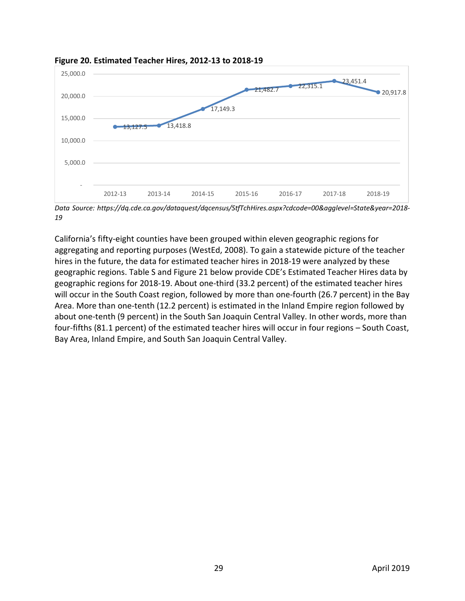

#### **Figure 20. Estimated Teacher Hires, 2012-13 to 2018-19**

*Data Source: https://dq.cde.ca.gov/dataquest/dqcensus/StfTchHires.aspx?cdcode=00&agglevel=State&year=2018- 19*

California's fifty-eight counties have been grouped within eleven geographic regions for aggregating and reporting purposes (WestEd, 2008). To gain a statewide picture of the teacher hires in the future, the data for estimated teacher hires in 2018-19 were analyzed by these geographic regions. Table S and Figure 21 below provide CDE's Estimated Teacher Hires data by geographic regions for 2018-19. About one-third (33.2 percent) of the estimated teacher hires will occur in the South Coast region, followed by more than one-fourth (26.7 percent) in the Bay Area. More than one-tenth (12.2 percent) is estimated in the Inland Empire region followed by about one-tenth (9 percent) in the South San Joaquin Central Valley. In other words, more than four-fifths (81.1 percent) of the estimated teacher hires will occur in four regions – South Coast, Bay Area, Inland Empire, and South San Joaquin Central Valley.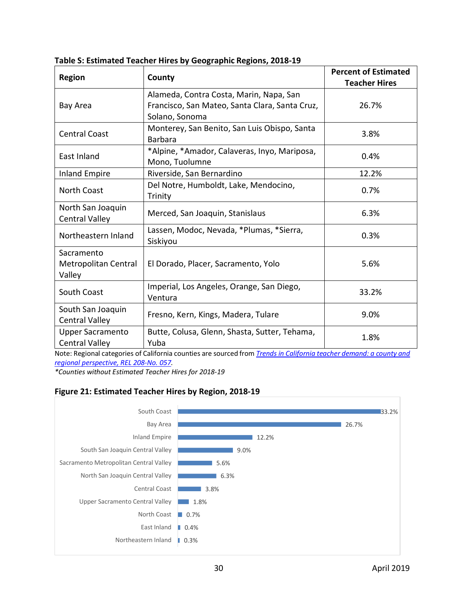| <b>Region</b>                                    | County                                                                                                      |       |
|--------------------------------------------------|-------------------------------------------------------------------------------------------------------------|-------|
| Bay Area                                         | Alameda, Contra Costa, Marin, Napa, San<br>Francisco, San Mateo, Santa Clara, Santa Cruz,<br>Solano, Sonoma | 26.7% |
| <b>Central Coast</b>                             | Monterey, San Benito, San Luis Obispo, Santa<br><b>Barbara</b>                                              | 3.8%  |
| East Inland                                      | *Alpine, *Amador, Calaveras, Inyo, Mariposa,<br>Mono, Tuolumne                                              | 0.4%  |
| <b>Inland Empire</b>                             | Riverside, San Bernardino                                                                                   | 12.2% |
| <b>North Coast</b>                               | Del Notre, Humboldt, Lake, Mendocino,<br>Trinity                                                            |       |
| North San Joaquin<br><b>Central Valley</b>       | Merced, San Joaquin, Stanislaus                                                                             | 6.3%  |
| Northeastern Inland                              | Lassen, Modoc, Nevada, *Plumas, *Sierra,<br>Siskiyou                                                        | 0.3%  |
| Sacramento<br>Metropolitan Central<br>Valley     | El Dorado, Placer, Sacramento, Yolo                                                                         | 5.6%  |
| South Coast                                      | Imperial, Los Angeles, Orange, San Diego,<br>Ventura                                                        |       |
| South San Joaquin<br><b>Central Valley</b>       | Fresno, Kern, Kings, Madera, Tulare                                                                         | 9.0%  |
| <b>Upper Sacramento</b><br><b>Central Valley</b> | Butte, Colusa, Glenn, Shasta, Sutter, Tehama,<br>Yuba                                                       | 1.8%  |

**Table S: Estimated Teacher Hires by Geographic Regions, 2018-19**

Note: Regional categories of California counties are sourced from *[Trends in California teacher demand: a county and](https://dq.cde.ca.gov/dataquest/dqcensus/StfTchHires.aspx?cdcode=00&agglevel=State&year=2018-19)  [regional perspective, REL 208-No. 057.](https://dq.cde.ca.gov/dataquest/dqcensus/StfTchHires.aspx?cdcode=00&agglevel=State&year=2018-19)*

*\*Counties without Estimated Teacher Hires for 2018-19*

#### **Figure 21: Estimated Teacher Hires by Region, 2018-19**

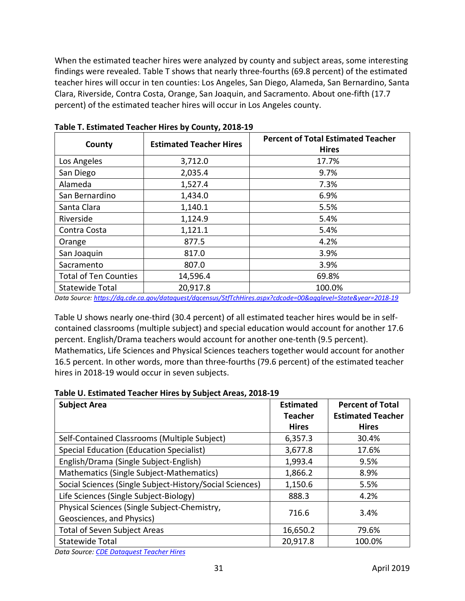When the estimated teacher hires were analyzed by county and subject areas, some interesting findings were revealed. Table T shows that nearly three-fourths (69.8 percent) of the estimated teacher hires will occur in ten counties: Los Angeles, San Diego, Alameda, San Bernardino, Santa Clara, Riverside, Contra Costa, Orange, San Joaquin, and Sacramento. About one-fifth (17.7 percent) of the estimated teacher hires will occur in Los Angeles county.

| County                       | <b>Estimated Teacher Hires</b> | <b>Percent of Total Estimated Teacher</b><br><b>Hires</b> |
|------------------------------|--------------------------------|-----------------------------------------------------------|
| Los Angeles                  | 3,712.0                        | 17.7%                                                     |
| San Diego                    | 2,035.4                        | 9.7%                                                      |
| Alameda                      | 1,527.4                        | 7.3%                                                      |
| San Bernardino               | 1,434.0                        | 6.9%                                                      |
| Santa Clara                  | 1,140.1                        | 5.5%                                                      |
| Riverside                    | 1,124.9                        | 5.4%                                                      |
| Contra Costa                 | 1,121.1                        | 5.4%                                                      |
| Orange                       | 877.5                          | 4.2%                                                      |
| San Joaquin                  | 817.0                          | 3.9%                                                      |
| Sacramento                   | 807.0                          | 3.9%                                                      |
| <b>Total of Ten Counties</b> | 14,596.4                       | 69.8%                                                     |
| <b>Statewide Total</b>       | 20,917.8                       | 100.0%                                                    |

**Table T. Estimated Teacher Hires by County, 2018-19**

*Data Source[: https://dq.cde.ca.gov/dataquest/dqcensus/StfTchHires.aspx?cdcode=00&agglevel=State&year=2018-19](https://dq.cde.ca.gov/dataquest/dqcensus/StfTchHires.aspx?cdcode=00&agglevel=State&year=2018-19)*

Table U shows nearly one-third (30.4 percent) of all estimated teacher hires would be in selfcontained classrooms (multiple subject) and special education would account for another 17.6 percent. English/Drama teachers would account for another one-tenth (9.5 percent). Mathematics, Life Sciences and Physical Sciences teachers together would account for another 16.5 percent. In other words, more than three-fourths (79.6 percent) of the estimated teacher hires in 2018-19 would occur in seven subjects.

| Table U. Estimated Teacher Hires by Subject Areas, 2018-19 |  |  |  |  |
|------------------------------------------------------------|--|--|--|--|
|------------------------------------------------------------|--|--|--|--|

| <b>Subject Area</b>                                      | <b>Estimated</b><br><b>Teacher</b> | <b>Percent of Total</b><br><b>Estimated Teacher</b> |
|----------------------------------------------------------|------------------------------------|-----------------------------------------------------|
|                                                          | <b>Hires</b>                       | <b>Hires</b>                                        |
| Self-Contained Classrooms (Multiple Subject)             | 6,357.3                            | 30.4%                                               |
| Special Education (Education Specialist)                 | 3,677.8                            | 17.6%                                               |
| English/Drama (Single Subject-English)                   | 1,993.4                            | 9.5%                                                |
| Mathematics (Single Subject-Mathematics)                 | 1,866.2                            | 8.9%                                                |
| Social Sciences (Single Subject-History/Social Sciences) | 1,150.6                            | 5.5%                                                |
| Life Sciences (Single Subject-Biology)                   | 888.3                              | 4.2%                                                |
| Physical Sciences (Single Subject-Chemistry,             | 716.6                              | 3.4%                                                |
| Geosciences, and Physics)                                |                                    |                                                     |
| <b>Total of Seven Subject Areas</b>                      | 16,650.2                           | 79.6%                                               |
| <b>Statewide Total</b>                                   | 20,917.8                           | 100.0%                                              |

*Data Source: [CDE Dataquest Teacher Hires](https://dq.cde.ca.gov/dataquest/dqcensus/StfTchHires.aspx?cdcode=00&agglevel=State&year=2018-19)*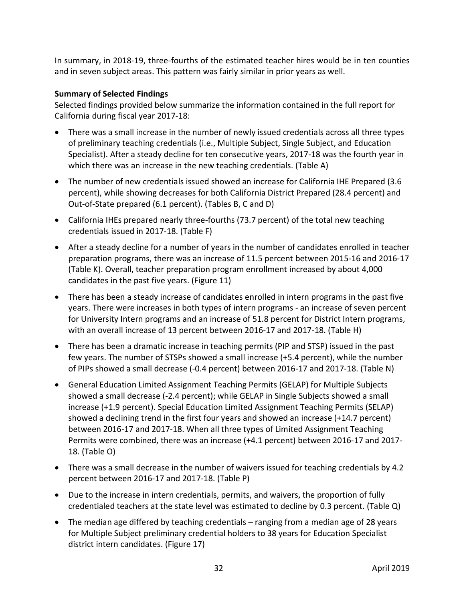In summary, in 2018-19, three-fourths of the estimated teacher hires would be in ten counties and in seven subject areas. This pattern was fairly similar in prior years as well.

#### **Summary of Selected Findings**

Selected findings provided below summarize the information contained in the full report for California during fiscal year 2017-18:

- There was a small increase in the number of newly issued credentials across all three types of preliminary teaching credentials (i.e., Multiple Subject, Single Subject, and Education Specialist). After a steady decline for ten consecutive years, 2017-18 was the fourth year in which there was an increase in the new teaching credentials. (Table A)
- The number of new credentials issued showed an increase for California IHE Prepared (3.6 percent), while showing decreases for both California District Prepared (28.4 percent) and Out-of-State prepared (6.1 percent). (Tables B, C and D)
- California IHEs prepared nearly three-fourths (73.7 percent) of the total new teaching credentials issued in 2017-18. (Table F)
- After a steady decline for a number of years in the number of candidates enrolled in teacher preparation programs, there was an increase of 11.5 percent between 2015-16 and 2016-17 (Table K). Overall, teacher preparation program enrollment increased by about 4,000 candidates in the past five years. (Figure 11)
- There has been a steady increase of candidates enrolled in intern programs in the past five years. There were increases in both types of intern programs - an increase of seven percent for University Intern programs and an increase of 51.8 percent for District Intern programs, with an overall increase of 13 percent between 2016-17 and 2017-18. (Table H)
- There has been a dramatic increase in teaching permits (PIP and STSP) issued in the past few years. The number of STSPs showed a small increase (+5.4 percent), while the number of PIPs showed a small decrease (-0.4 percent) between 2016-17 and 2017-18. (Table N)
- General Education Limited Assignment Teaching Permits (GELAP) for Multiple Subjects showed a small decrease (-2.4 percent); while GELAP in Single Subjects showed a small increase (+1.9 percent). Special Education Limited Assignment Teaching Permits (SELAP) showed a declining trend in the first four years and showed an increase (+14.7 percent) between 2016-17 and 2017-18. When all three types of Limited Assignment Teaching Permits were combined, there was an increase (+4.1 percent) between 2016-17 and 2017- 18. (Table O)
- There was a small decrease in the number of waivers issued for teaching credentials by 4.2 percent between 2016-17 and 2017-18. (Table P)
- Due to the increase in intern credentials, permits, and waivers, the proportion of fully credentialed teachers at the state level was estimated to decline by 0.3 percent. (Table Q)
- The median age differed by teaching credentials ranging from a median age of 28 years for Multiple Subject preliminary credential holders to 38 years for Education Specialist district intern candidates. (Figure 17)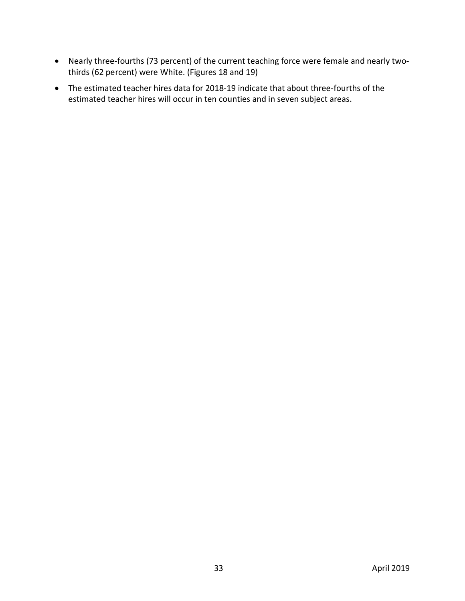- Nearly three-fourths (73 percent) of the current teaching force were female and nearly twothirds (62 percent) were White. (Figures 18 and 19)
- The estimated teacher hires data for 2018-19 indicate that about three-fourths of the estimated teacher hires will occur in ten counties and in seven subject areas.